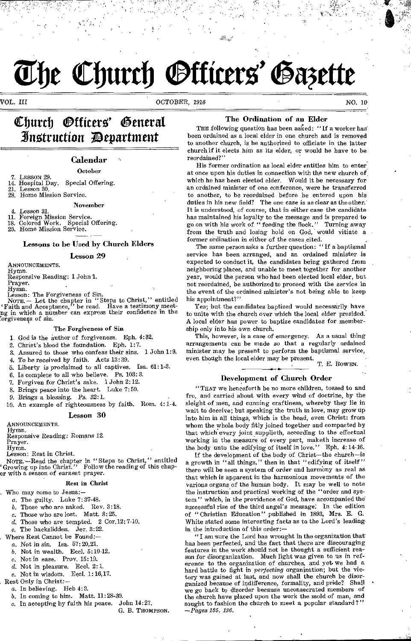# **The Church Officers' Gazette**

VOL. III OCTOBER, 1916 NO. BY

# Church Officers' General 31mstruction ;Department

#### Calendar October

- 
- 7. LESSON 29.<br>14. Hospital Day, 14. Hospital Day. Special Offering.
- 21. Lesson 30.<br>28 Home Miss Home Mission Service.

4. Lesson 31.<br>11. Foreign N

- 11. Foreign Mission Service. 18. Colored Work. Special Offering.
- 25. Home Mission Service.

#### Lessons to be Used by Church Elders

#### Lesson 29

ANNOUNCEMENTS.

Hymn.

Responsive Reading: 1 John 1.

Prayer. Hymn.

Lesson: The Forgiveness of Sin.<br>
NOTE. -- Let the chapter in "Steps to Christ," entitled<br>
'Faith and Acceptance," be read. Have a testimony meet-<br>
ng in which a number can express their confidence in the orgivenegs of sin.

#### The Forgiveness of Sin

- 1. God is the author of forgiveness. Eph. 4:32.
- 2. Christ's blood the foundation. Eph. 1:7.
- 
- Assured to those who confess their sins. 1 John 1:9.
- 4. To be *received* by faith. Acts 13: 39.
- 5. Liberty is proclaimed to all captives. Isa. 61:1-3.
- 6. Is complete to all who believe. Ps. 103:3.
- 7. Forgiven for Christ's sake. 1 John 2:12.
- 8. Brings peace into the heart. Luke 7:50.
- *9. Brings* a *blessing.* Ps. 32:1.
- 10. An example of righteousness by faith. Horn. 4:1-4.

#### Lesson 30

ANNOUNCEMENTS.

Hymn.

Responsive Reading: Romans 12.

Prayer. Hymn.

Lesson: Rest in Christ.

NOTE.-Read the chapter in "Steps to Christ," entitled 'Growing up into Christ." Follow the reading of this chaper with a season of earnest prayer.

#### Rest in Christ

. Who may come to Jesus:-

- a. The guilty. Luke 7:37-48.
- b. Those who are naked. Rev. 3:18.
- *e.* Those who are lost. Matt. 8: 25.
- d. Those who are tempted. 2 Cor.12: 7-10.
- e. The backslidden.  $\bar{J}$ er. 3:22.
- Where Rest Cannot be Found:-
- a. Not in sin. Isa. 57: 20,21.
	- b. Not in wealth. Eccl. 5:10-12.
	- c. Not in ease. Prov. 15:19.
	- $d.$  Not in pleasure. Eccl. 2:1.
	- e. Not in wisdom. Eccl. 1: 16,17.
- Rest Only in Christ:
	- a. In believing. Heb 4:3.
	-
	- b. In coming to him. Matt.  $11:28-30$ .<br>c. In accepting by faith his peace. John  $14:27$ .  $c$ . In accepting by faith his peace.
		- G. B. THOMPSON.

#### The Ordination of an Elder

THE following question has been asked: "If a worker has been ordained as a local elder in one church and is removed to another church, is he authorized to officiate in the latter church if it elects him as its elder, or would he have to be reordained?"

His former ordination as local elder entitles him to enter at once upon his duties in connection with the new church of, which he has been elected elder. Would it be necessary for an ordained minister of one conference, were he transferred to another, to be reordained before he entered upon his[ duties in his new field? The one case is as clear as the other. It is understood, of course, that in either case the candidate has maintained his loyalty to the message and is prepared to go on with his work of " feeding the flock." Turning away from the truth and losing hold on God, would vitiate a former ordination in either of the cases cited.

The same person asks a further question: "If a baptismal service has been arranged, and an ordained minister is expected to conduct it, the candidates being gathered from neighboring places, and unable to meet together for another year, would the person who had been elected local elder, but not reordained, be authorized to proceed with the service in the event of the ordained minister's not being able to keep his appointment?"

Yes; but the candidates baptized would necessarily have to unite with the church over which the local elder presided. A local elder has power to baptize candidates for membership only into his own church.

This, however, is a case of emergency. As a usual thing arrangements can be made so that a regularly ordained minister may be present to perform the baptismal service, even though the local elder may be present.

T. E. BowEN.

#### Development of Church Order

"THAT we henceforth be no more children, tossed to and fro, and carried about with every wind of doctrine, by the sleight of men, and cunning craftiness, whereby they lie in wait to deceive; but speaking the truth in love, may grow up into him in all things, which is the head, even Christ: from whom the whole body fitly joined together and compacted by that which every joint supplieth, according to the effectual working in the measure of every part, maketh increase of the body unto the edifying of itself in love." Eph. 4:14-16.

If the development of the body of Christ-the church-is a growth in "all things," then in that "edifying of itself" there will be seen a system of order and harmbny as real *as*  that which is apparent in the harmonious movements of the various organs of the human body. It may be well to note the instruction and practical working of the "order and system" which, in the providence of God, have accompanied the successful rise of the third angel's message. In the edition of "Christian Education" published in 1893, Mrs. E. G. White stated some interesting facts as to the Lord's leading in the introduction of this order:-

" I am sure the Lord has wrought in the organization that has been perfected, and the fact that there are discouraging features in the work should not be thought a sufficient reason for disorganization. Much light was given to us in reference to the organization of churches, and yet. we had a hard battle to fight in *perfecting* organization; but the victory was gained at last, and now shall the church be disorganized because of indifference, formality, and pride? Shall we go back to disorder because unconsecrated members of the church have placed upon the work the mold of man, and sought to fashion the church to meet a popular standard?' *-Pages 185, 186.* 

November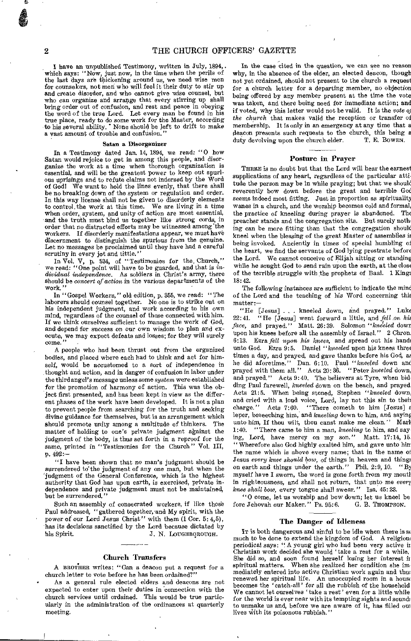I have an unpublished Testimony, written in July, 1894, . which says: "Now, just now, in the time when the perils of the last days are thickening around us, we need wise men for counselors, not men who will feel it their duty to stir up and create disorder, and who cannot give wise counsel, but who can organize and arrange that every stirring up shall bring order out of confusion, and rest and peace in obeying the word of the true Lord. Let every man be found in his true place, ready to do some work for the Master, according to his several ability. • None should be left to drift to make a vast amount of trouble and confusion."

#### Satan a Disorganizer

In a Testimony dated Jan. 14, 1894, we read: "0 how Satan would rejoice to get in among this people, and disorganize the work at a time when thorough organization is essential, and will be the greatest power to keep out spurious uprisings and to refute claims not indorsed by the Word of God! We want to hold the lines evenly, that there shall be no breaking down of the system or regulation and order. In this way license shall not be given to disorderly elements to control, the work at this time. We are living in a time to control the work at this time. We are living in a time when order, system, and unity of action are most essential, and the truth must bind us together like strong cords, in order that no distracted efforts may be witnessed among 'the workers. If disorderly manifestations appear, we must have discernment to distinguish the spurious from the genuine. Let no messages be proclaimed until they have had a careful scrutiny in every jot and tittle."

In Vol. V, p. 534, of "Testimonies for the. Church," we read: "One point will have to be guarded, and that is *individual independence.* As soldiers in Christ's army, there should be *concert of action* in the various departments of the work.

In "Gospel Workers," old edition, p. 355, we read: "The laborers should counsel together. No one is to strike out on his independent judgment, and work according to his own mind, regardless of the counsel of those connected with him. If we think ourselves sufficient to manage the work of God, and depend for success on our own wisdom to plan and execute, we may expect defeats and losses; for they will surely come."

A people who had been thrust out from the organized bodies, and placed where each had to think and act for himself, would be accustomed to a sort of independence in thought and action, and in danger of confusion in labor under the third angel's message unless some *system* were established for the promotion of harmony of action. This was the object first presented, and has been kept in view as the different phases of the work have been developed. It is not a plan to prevent people from searching for the truth and seeking divine guidance for themselves, but is an arrangement which<br>should promote unity among a multitude of thinkers. The should promote unity among a multitude of thinkers. matter of holding to one's private judgment against the judgment of the body, is thus *set* forth in a reproof for the same, printed in "Testimonies for the Church" Vol. III, p. 492:—

"I have been shown that no man's judgment should be surrendered to the judgment of any one man, but when the judgment of the General Conference, which is the highest authority that God has upon earth, is exercised, private independence and private judgment must not be maintained, but be surrendered."

Such an assembly of consecrated workers, if like those Paul addressed, "gathered together, and My spirit, with the power of our Lord Jesus Christ" with them (1 Cor. 5: 4,5), has its decisions sanctified by the Lord because dictated by his Spirit.<br> $J. N. LOUGHBQROUGH.$ J. N. LOUGHBOROUGH.

#### Church Transfers

A BROTHER writes: "Can a deacon put a request for a church letter to vote before he has been ordained?"

As a general rule elected elders and deacons are not expected to enter upon their duties in connection with the church services until ordained. This would be true particularly in the administration of the ordinances at quarterly meeting.

In the case cited in the question, we can see no reason why, in the absence of the elder, an elected deacon, though not yet ordained, should not present to the church a request for a church letter for a departing member, no objection being offered by any member present at the time the vote was taken, and there being need for immediate action; and if voted, why this letter would not be valid. It is the *vote oj the church,* that makes valid the reception or transfer of membership. It is only in an emergency at any time that a deacon presents such requests to the church, this being a duty devolving upon the church elder. T. E. BOWEN.

#### Posture in Prayer

THERE is no doubt but that the Lord will hear the earnest supplications of any heart, regardless of the particular attitude the person may be in while praying; but that we should reverently bow down before the great and terrible God seems indeed most fitting. Just in proportion as spirituality wanes in a church, and the worship becomes cold and formal, the practice of kneeling during prayer is abandoned. The preacher stands and the congregation sits. But surely nothing can be more fitting than that the congregation should kneel when the blessing of the great Master of assemblies is being invoked. Anciently in times of special humbling of the heart, we find the servants of God lying prostrate before the Lord. We cannot conceive of Elijah sitting or standing while he sought God to send rain upon the earth, at the close of the terrible struggle with the prophets of Baal. 1 King; 18:42.

The following instances are sufficient to indicate the mind of the Lord and the teaching of his Word concerning this matter:—

"He [Jesus] . . . kneeled down, and prayed." Luke 22:41. "He [Jesus] went forward a little and fell on him "He [Jesus] went forward a little, and *fell on his face,* and prayed." Matt. 26: 39. Solomon *"kneeled* dowr upon his knees before all the assembly of Israel." 2 Chron. 6:13. Ezra *fell upon his knees,* and spread out his hand; unto God. Ezra 9.5. Daniel *"kneeled* upon his knees three times a day, and prayed, and gave thanks before his God, as he did aforetime." Dan. 6:10. Paul *"kneeled* down and prayed with them all." Acts 20: 36. "Peter *kneeled* down, and prayed." Acts 9:40. The believers at Tyre, when bidding Paul farewell, *kneeled* down on the beach, and prayed. Acts 21:5. When being stoned, Stephen *"kneeled* down, and cried with a loud voice, Lord, lay not this sin to their charge." Acts 7:60. "There cometh to him [Jesus] a Acts 7:60. "There cometh to him [Jesus] a leper, beseeching him, and kneeling down to him, and saying unto him, If thou wilt, thou canst make me clean." Mari 1:40. "There came to him a man, *kneeling* to him, and say ing, Lord, have mercy on my son." Matt. 17:14, 15 "Wherefore also God highly exalted him, and gave unto him the name which is above every name; that in the name of Jesus *every knee should bow,* of things in heaven and thing: on earth and things under the earth." Phil. 2:9, 10. "BI myself have I sworn, the word is gone forth from my moutl in righteousness, and shall not return, that unto me *even knee shall bow,* every tongue shall swear. " Isa. 45: 28.

"0 come, let us worship and bow down; let us kneel be fore Jehovah our Maker." Ps. 95:6. G. B. THOMPSON.

#### The Danger of Idleness

IT is both dangerous and sinful to be idle when there is a: much to be done to extend the kingdom of God. A religion: periodical says: " A young girl who had been very active it Christian work decided she would 'take a rest for a while. She did so, and soon found herself losing her interest it spiritual matters. When she realized her condition she im mediately entered into active Christian work again and thus renewed her spiritual life. An unoccupied room in a hous: becomes the 'catch-all' for all the rubbish of the household We cannot let ourselves 'take a rest' even for a little while for the world is ever near with its tempting sights and sound: to unmake us and, before we are aware of it, has filled ou: lives with its poisonous rubbish.'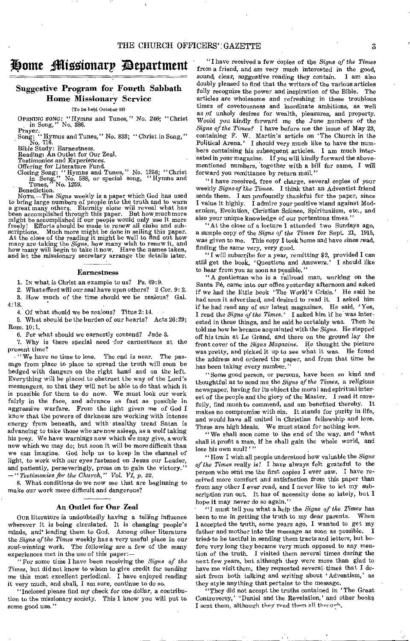## ji)onte 4ilt5zionarp apartment

#### Suggestive Program for Fourth Sabbath Home Missionary Service

(To be held October 25)

OPENING SONG: "Hymns and Tunes," *No. 246; "* Christ in Song," No. 386.

Prayer.<br>Song: "Hymns and Tunes," No. 833; "Christ in Song," Pray-<br>Song: "

Bible Study: Earnestness. Reading: An Outlet for Our Zeal.

*Testimonies* and Experiences.

Offering for Literature Fund.<br>Closing Song: "Hymns and Tunes," No. 1256; "Christ<br>in Song," No. 588, or special song, "Hymns and<br>Tunes," No. 1259.

Benediction.<br>NOTE. —The *Signs* weekly is a paper which God has used<br>to bring large numbers of people into the truth and to warn<br>a great many others. Eternity alone will reveal what has been accomplished through this paper. But how much more might be accomplished if our people would only use it more freely! Efforts should be made to renew all clubs and subscriptions. Much more might be done in selling thi At the close of the reading it might be well to find out how many are taking the *Signs,* how many wish to renew it, and how many will begin to take it now. Have the names taken, and let the missionary secretary arrange the details later.

#### Earnestness

1. IN what is Christ an example to us? Ps. 69:9.

2. What effect will our zeal have upon *others?* 2 Cor. 9: 2.

3. How much of the time should we be zealous? Gal. 4:18.

4. Of what should we be zealous? Titus 2: 14,

5. What should be the burden of our hearts? Acts 26:29; Rom, 10:1.

6. For what should we earnestly contend? Jude 3.

7. Why is there special need 'for earnestness at the present time?

• "We have no time to lose. The end is near, The passage from place to place to spread the truth will soon be hedged with dangers on the right hand and on the left. Everything will be placed to obstruct the way of the Lord's messengers, so that they will not be able to do that which it is possible for them to do now. We must look our work fairly in the face, and advance as fast as possible in aggressive warfare. From the light given me of God I know that the powers of darkness are working with intense energy from beneath, and with stealthy tread Satan is advancing to take those who are now asleep, as a wolf taking his prey. We have warnings now which We may give, a work now which we may do; but soon it will be more difficult than we can imagine. God help us to keep in the channel of *light,* to work with our eyes fastened on Jesus our Leader, and patiently, perseveringly, press on to gain the victory." *—"Testimonies for the Church," Vol. VI, p. 22.* 

8. What conditions do we now see that are beginning to make our work more difficult and dangerous?

#### An Outlet for Our Zeal

OUR literature is undoubtedly having a telling influence wherever it is being circulated. It is changing people's minds, and' leading them to God. Among other literature the *Signs of the Times* weekly has a very useful place in our *soul-winning work.* The following are a few of the many experiences met in the use of this paper:—

"For some time I have been receiving the *Signs of the Times,* but did not know to whom to give credit for sending me this most excellent periodical. I have enjoyed reading it very much, and shall, I am sure, continue to do so.

"Inclosed please find my check *for one dollar,* a contribution to the missionary society. This I know you will put to some good use."

"I have received a few Copies of the *Signs of the Times*  from a friend, and am very much interested in the good, *sound,* clear, *suggestive* reading they contain. I am also doubly pleased to find that the writers of the various articles fully recognize the power and inspiration of the Bible. The articles are wholesome and refreshing in these troublous times of covetousness and inordinate ambitions, as well as of unholy desires for wealth, pleasures, and property. Would you kindly forward me the June *numbers* of the *Signs of the Times?* I have before me the issue of May 23, containing F. W. Martin's article on 'The Church in the Political Arena.' I should very much like to have the numbers containing his subsequent articles. I am much interested in your magazine. If you will kindly forward the abovementioned numbers, 'together with a bill for same, I will forward you remittance by return mail."

"I have received, free of charge, several copies of your weekly *Signs of the Times.* I think that an Adventist friend sends them. I am profoundly thankful for the paper, since I value it highly. I admire your positive Stand against Modernism, Evolution, Christian Science, Spiritualism, etc., and also your unique knowledge of our portentous times."

"At the close of a lecture I attended two Sundays ago, a sample copy of the *Signs of the Times* for Sept. 21, 1915, was given to me. This copy I took home and have since read, finding the same very, very good.

"I will subscribe for a year, remitting \$2, provided I can still get the book, ' Questions and Answers.' I should like to hear from you as soon as possible."

"A gentleman who is a railroad man, working on the Santa Fé, came into our office yesterday afternoon and asked if we had the little book 'The World's Crisis.' He said he had seen it advertised, and desired to read it. I asked him if he had read any of our latest magazines. He said, 'Yes, I read the *Signs of the Times.'* I asked him if he was interested in these things, and he said he certainly was. Then he told me how he became acquainted with the *Signs.* He stepped off his train at Le Grand, and there on the ground lay the front cover of the *Signs Magazine.* He thought the picture was pretty, and picked it up to see what it was. He found the address and ordered the paper, and from that time he has been taking every number."

" Some good person, or persons, have been so kind and thoughtful as to send me the *Signs of the Times,* a religious newspaper, having for its object the moral and spiritual interest of the people and the glory of the Master. I read it carefully, find much to commend, and am benefited thereby. It makes no compromise with sin. It stands for purity in life, and would have all united in Christian fellowship and love. These are high ideals. We must stand for nothing less.

"We shall soon come to the end of the way, and 'what shall it profit a man, if he shall gain the whole world, and lose his own soul?''

"How I wish all people understood how valuable the *Signs of the Times* really is! I have *always* felt grateful to the person who sent me the first copies I ever saw. I have received more comfort and satisfaction from this paper than from any other I ever read, and I never like to let my subscription run out. It has of necessity done so lately, but I hope it may never do so again."

"I must tell you what a help the *Signs of the Times* has been to me in getting the truth to my dear parents. When I accepted the truth, some years ago, I wanted to get my father and mother into the message as soon as possible. I tried. to be tactful in sending them tracts and letters, but before very long they became very much opposed to any mention of the truth. I visited them several times during the next few years, but although they were more than glad to have me visit them, they requested several times that I desist from both talking and writing about 'Adventism,' as they style anything that pertains to the message.

They did not accept the truths contained in 'The Great' Controversy,' 'Daniel and the Revelation,' and other books I sent them, although they read them all through,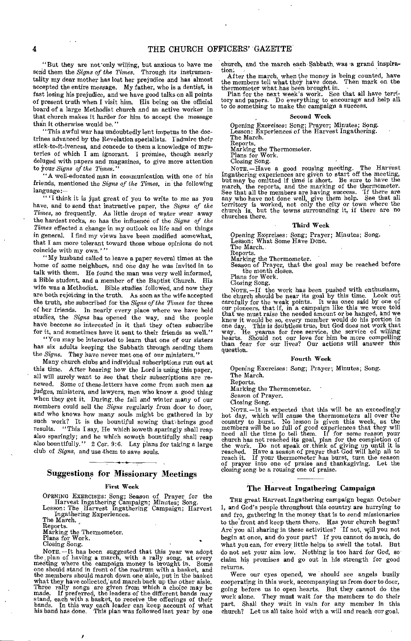#### 4 THE CHURCH OFFICERS' GAZETTE

"But they are not'only willing, but anxious to have me send them the *Signs of the Times.* Through its instrumentality my dear mother has lost her prejudice and has almost accepted the entire message. My father, who is a dentist, is fast losing his prejudice, and we have good talks on all points of present truth when I visit him, His being on the official board of a large Methodist church and an active worker in that church *makes* it harder for him to accept the message than it otherwise would be."

"This awful war has undoubtedly lent impetus to the doctrines advanced by the Revelation specialists. I admire their stick-to-it-iveness, and concede to them a knowledge of mysteries of which I am ignorant. I promise, though nearly deluged with papers and magazines, to give more attention to your *Signs of the Times."* 

"A well-educated man in communication with one of his friends, mentioned the *Signs of the Times,* in the following language:—

"'I think it is just great of you to write to me as you have, and to send that instructive paper, the *Signs of the Times,* so frequently. As little drops of water wear away the hardest rocks, so has the influence of the *Signs of the Times* effected a change'in my outlook on life and on things in general. I find my views have been modified somewhat, that I am more tolerant toward those whose opinions do not coincide with my own.'"

"My husband called to leave a paper several times at the home of some neighbors, and one day he was invited in to talk with them. He found the man was very well informed, a Bible student, and a member of the Baptist Church. His wife was a Methodist. Bible studies followed, and now they are both rejoicing in the truth. As soon as the wife accepted the truth, she subscribed for the *Signs of the Times* for three of her friends. In nearly every place where we have held studies, the *Signs* has opened the way, and the people have become so interested in it that they often subscribe for it, and sometimes have it sent to their friends as well."

"You may be interested to learn that one of our sisters has six adults keeping the Sabbath through sending them the *Signs*. They have never met one of our ministers.

Many church clubs and individual subscriptions run out at this time. After hearing how the Lord is using this paper, all will surely want to see that their subscriptions are renewed. Some of these-letters have come from such men as judges, ministers, and lawyers, men who know a good thing when they get it. During the fall and winter many of our members could sell the *Signs* regularly from door to door, and who knows how many souls might be gathered in by such work? It is the bountiful sowing that brings good results. "This I say, He which soweth sparingly shall reap also sparingly; and he which soweth bountifully shall reap also bountifully." 2 Cor. 9:6. Lay plans for taking a large club of *Signs,* and use .them to save souls.

#### Suggestions for Missionary Meetings

#### First Week

OPENING EXERCISES: Song; Season of Prayer for the Harvest Ingathering Campaign; Minutes; Song. Lesson: The Harvest Ingathering Campaign; Harvest Ingathering Experiences. The March.

Reports.

Marking the Thermometer. Plans for Work.

Closing Song.

NOTE. --It has been suggested that this year we adopt<br>the plan of having a march, with a rally song, at every<br>meeting where the campaign money is brought in. Some<br>one should stand in front of the rostrum with a basket, and what they have collected, and march back up the other aisle. Three rally songs are given from which a choice may be made. If preferred, the leaders of the different bands may stand, each with a basket, to receive the offerings of their bands. In this way each leader can keep account of what his band has done. This plan was followed last church, and the march each Sabbath, was a grand inspiration.

After the march, when the money is being counted, have<br>le members tell what they have done. Then mark on the the members tell what they have done. Then mark on the thermometer what has been brought in.

Plan for the next week's work. See that all have territory and papers. Do everything to encourage and help all to do something to make the campaign a success.

#### Second Week

Opening Exercises: Song; Prayer; Minutes; Song. Lesson: Experiences of the Harvest Ingathering. The March. Reports.

Marking the Thermometer.

Plans for Work. Closing Song.

NOTE. —Have a good rousing meeting. The Harvest Ingathering experiences are given to start off the meeting, but may be omitted if time is short. Be sure to have the march, the reports, and the marking of the thermometer. See that all the members are having success. If there are *any* who have not done well, give them help. See that all territory is worked, not only the city or town where the church is, but the towns surrounding it, if there are no church is, but<br>churches there.

#### Third Week

Opening Exercises: Song; Prayer; Minutes; Song. Lesson: What Some Have Done.

The March. Reports.

Marking the Thermometer.

Season of Prayer, that the goal may be reached before the month closes.

Plans for Work.

Closing Song.

NOTE. -If the work has been pushed with enthusiasm, the church should be near its goal by this time. Look out carefully for the weak points. It was once said by one of our pioneers, that if, in a campaign like this we were told that we must raise the needed amount or be hanged, and we knew it would be so, every member would do his portion in<br>one day. This is doubtless true, but God does not work that<br>way. He yearns for free service, the service of willing<br>hearts. Should not our love for him be more comp question.

#### Fourth Week

Opening Exercises: Song; Prayer; Minutes; Song. The March.

Reports.

Marking the Thermometer.

Season of Prayer. Closing Song.

NOTE. —It is expected that this will be an exceedingly hot day, which will cause the thermometers all over the country to burst. No lesson is given this week, as the members will be so full of good experiences that they will need all the time to tell them. If for some reason your church has not reached its goal, plan for the completion of the work. Do not speak or think of giving up un reached. Have a season of prayer that God will help all to reach it. If your thermometer has burst, turn the season of prayer into one of praise and thanksgiving. Let the closing song be a rousing one of praise.

#### The Harvest Ingathering Campaign

THE great Harvest Ingathering campaign began October 1, and God's people throughout this country are hurrying to and fro, gathering in the money that is to send missionaries to the front and keep them there. Has your church begun? Are you all sharing in these activities? If not, will you not begin at once, and do your part? If you cannot do much, do what you can, for every little helps to swell the total. But do not set your aim low. Nothing is too hard for God, so claim his promises and go out in his strength for good returns.

Were our eyes opened, we should see angels busily cooperating in this work, accompanying us from door to door, going before us to open hearts. But they cannot do the work alone. They must wait for the members to do their part, Shall they wait in vain for any member in this church? Let us all take hold with a will and reach our goal.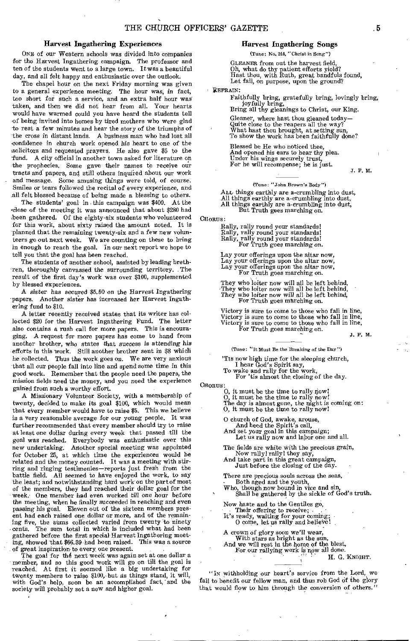#### Harvest Ingathering Experiences

ONE of our Western schools was divided into companies for the Harvest Ingathering campaign. The professor and ten of the students went to a large town. It was a beautiful day, and all felt happy and enthusiastic over the outlook.

The chapel hour on the next Friday morning was given to a general experience meeting. The hour was, *in* fact, too short for such a service, and an extra half hour was taken, and then we did not hear from all. Your hearts would have warmed could you have heard the students tell 'of being invited into homes by tired mothers who were glad to rest a few minutes and hear the story of the triumphs of the cross in distant lands. A business man who had lost all confidence in church work opened his heart to one of the :solicitors and requested prayers. He also gave \$5 to the fund. A city official in another town asked for literature on the prophecies. Some gave their names to receive our tracts and papers, and still others inquired about our work and message. Some amusing things were told, of course. Smiles or tears followed the recital of every experience, and all felt blessed because of being made a blessing to others.

The students' goal in this campaign was \$400. At the /close of the meeting it was announced that about \$280 had been gathered. Of the eighty-six students who volunteered for this work, about sixty raised the amount noted. It is planned that the remaining twenty-six and a few new volunteers go out next week. We are counting on these to bring in enough to reach the goal. In our next report we hope to tell you that the goal has been reached.

The students of another school, assisted by leading brethren, thoroughly canvassed the surrounding territory. The result of the first day's work was over \$100, supplemented by blessed experiences.

A *sister has* secured \$5.50 on the Harvest Ingathering papers. Another sister has increased her Harvest Ingathering fund to \$10.

A letter recently received states that its writer has collected \$20 for the Harvest Ingathering Fund. The letter also contains a rush call for more papers. This is encouraging. A request for more papers has come to hand from another brother, who states that success *is attending* his efforts in this work. Still another brother sent in \$8 which he collected. Thus the work goes on. We are very anxious -that all our people fall into line and spend some time in this good work. Remember that the people need the papers, the mission fields need the money, and you need the experience gained from such a worthy effort.

A Missionary Volunteer Society, with a membership of twenty, decided to make its *goal* \$100, which would mean that every member would have to raise \$5. This we believe is a very reasonable average for our young people. It was further recommended that every member should try to raise at least one dollar during every week that passed till the goal was reached. Everybody was enthusiastic over this new undertaking. Another special meeting was appointed for October 25, at which time the experiences would be related and the money counted. It was a meeting with stirring and ringing testimonies—reports just fresh from the battle field. All seemed to have enjoyed the work, to say the least; and notwithstanding hard work on the part of most of the members, they had reached their dollar goal for the week. One member had even worked till one hour before the meeting, when he finally succeeded in reaching and even passing his goal. Eleven out of the sixteen members present had each raised one dollar or more, and of the remaining five, the sums collected varied from twenty to ninety cents. The sum total in which is included what had been gathered before the first special Harvest Ingathering meet-<br>ing. showed that \$66.39 had been raised. This was a source ing, showed that \$66.39 had been raised. of great inspiration to every, one present.

The goal for the next week was again set at one dollar a member, and so this good work will go on till the goal is reached.. At first it seemed like a big undertaking for twenty members to raise \$100, but as things stand, it will, with God's help, soon be an accomplished fact,' and the society will probably set a new and higher goal.

#### Harvest Ingathering Songs

(Tune: No. 244, "Christ in Song")

GLEANER from out the harvest field, Oh, what do thy patient efforts yield? Hast thou, with Ruth, great handfuls found, Let fall, on purpose, upon the ground?

• REFRAIN:

Faithfully bring, gratefully bring, lovingly bring, joyfully bring, Bring all thy gleanings to Christ, our King.

Gleaner, where hast thou gleaned today— Quite close to the reapers all the way? What hast thou brought, at setting sun, To show the work has been faithfully done?

Blessed be He who noticed thee, And opened his ears to hear thy plea. Under his wings securely trust, For he will recompense; he is just.

J. F. M.

(Tune: "John Brown's Body")

ALL *things* earthly are a-crumbling into dust, All things earthly are a-crumbling into dust, All things earthly are a-crumbling into dust, But Truth gees marching on.

CHORUS:

Rally, rally round your standards! Rally, rally round your standards! Rally, rally round your standards! For Truth goes *marching on.* 

Lay your offerings upon the altar now, Lay your offerings upon the altar now, Lay your offerings upon the altar now, For Truth goes marching on.

They who loiter now will all be left behind, They who loiter now will all be left behind, They who loiter now *will* all be left behind, For Truth goes marching on.

Victory is sure to come to those who fall in line, Victory is sure to come to those who fall in line, Victory is sure to come to those who fall in line, For Truth goes marching on.

J. F. M.

(Tune: "It Must Be the Breaking of the Day ")

'Tis now high time for the sleeping church,

I hear God's Spirit say, To wake and rally for the work, For 'tis almost the, closing of the day.

CHORUS:

0, it must, be the time to rally now!

0, it must be the time to rally now! The day is almost gone, the night is coming on: 0, it must be the time to rally now!

O church of God, awake, arouse, And heed the Spirit's call, And set your goal in this campaign; Let us rally now and labor one and all.

The fields are white with the precious grain, Now rally! rally! they say, And take part in this great campaign,

Just before the closing of the day.

There are precious souls across the seas,<br>
• Both aged and the youth,<br>
• Who, though now bound in vice and sin,<br>
• Shall be gathered by the sickle of God's truth.

Now haste and to the Gentiles go,<br>
Their offering to receive;

It's ready, waiting for your coming;<br>O come, let us rally and believe!

A crown of glory soon we'll wear, With stars as bright as the sun,<br>And we will rest in the home of the blest,<br>For our rallying work is now all done.

H. G. KNIGHT.

"In withholding our heart's service from the Lord, we fail to benefit our fellow man, and thus rob God of the glory that would flow to him through the conversion of others."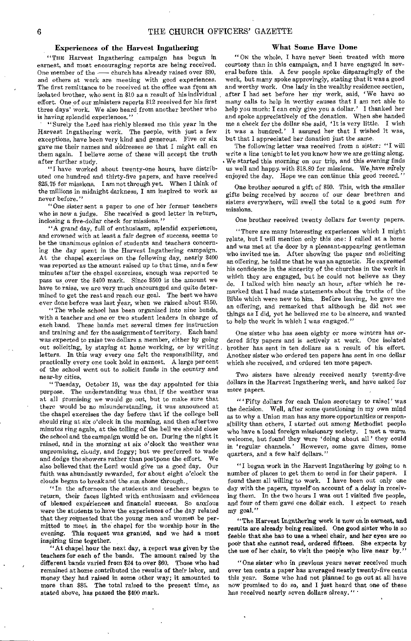#### Experiences of the Harvest Ingathering

"THE Harvest Ingathering campaign has begun in earnest, and most encouraging reports are being received. One member of the — church has already raised over \$30, and others at work are meeting with good experiences. The first remittance to be received at the office was from an isolated brother, who sent in \$10 as a result of his individual effort. One of our ministers reports \$12 received for his first three days' work. We also heard from another brother who is having splendid experiences."

"Surely the Lord has richly blessed me this year in the Harvest Ingathering work. The people, with just a few exceptions, have been very kind and generous. Five or six gave me their names and addresses so that I might call on them again. I believe some of these will accept the truth after further study.

"I have worked about twenty-one hours, have distributed one hundred and thirty-five papers, and have received \$25.75 for missions. I am not through yet. When I think of the millions in midnight darkness, I am inspired to work as never before."

"One sister sent a paper to one of her former teachers who is now a judge. She received a good letter in return, inclosing a five-dollar check for missions."

"A grand day, full of enthusiasm, splendid experiences, and crowned with at least a fair degree of success, seems to be the unanimous opinion of students and teachers concerning the day spent in the Harvest Ingathering campaign. At the chapel exercises on the following day, nearly \$400 was reported as the amount raised up to that time, and a few minutes after the chapel exercises, enough was reported to pass us over the \$400 mark. Since \$500 is the amount we have to raise, we are very much encouraged and quite determined to get the rest and reach our goal. The best we have ever done before was last year, when we raised about \$150.

"The whole school has been organized into nine bands, with a teacher and one or two student leaders in charge of each band. These bands met several times for instruction and training and for the assignment of territory. Each band was expected to raise two dollars a member, either by going out soliciting, by staying at home working, or by writing, letters. In this way every one felt the responsibility, and practically every one took hold in earnest. A large per cent of the school went out to solicit funds in the country and near-by cities.

"Tuesday, October 19, was the day appointed for this purpose. The understanding was that, if the weather was at all promising we would go out, but to make sure that there would be no misunderstanding, it was announced at the chapel exercises the day before that if the college bell should ring at six o'clock in the morning, and then after two minutes ring again, at the tolling of the bell we should close the school and the campaign would be on. During the night it rained, and in the morning at six o'clock the weather was unpromising, cloudy, and foggy; but we preferred to wade and dodge the showers rather than postpone the effort. We also believed that the Lord would give us a good day. faith was abundantly rewarded, for about eight o'clock the clouds began to break and the sun shone through..

" In the afternoon the students and teachers began to return, their faces lighted with enthusiasm and evidences of blessed experiences and financial success. So anxious were the students to have the experiences of the day related that they requested that the young men and women be permitted to meet in the chapel for the worship hour in the evening. This request was granted, and we had a most inspiring time together.

"At chapel hour the next day, a report was given by the teachers for each of the bands. The amount raised by the different bands varied from \$24 to over \$60. Those who had remained at home contributed the results of their labor, and money they had raised in some other way; it amounted to more than \$85. The total raised to the present time, as stated above, has passed the \$400 mark.

#### What Some Have Done

" ON the whole, I have never been treated with more courtesy than in this campaign, and I have engaged in several before this. A few people spoke disparagingly of the work, but many spoke approvingly, stating that it was a good and worthy work. One lady in the wealthy residence section, after I had set before her my work, said, 'We have so many calls to help in worthy causes that I am not able to help you much: I can only give you a dollar.' I thanked her and spoke appreciatively of the donation. When she handed me a check for the dollar she said, 'It is very little. I wish it was a hundred.' I assured her that I wished it was, but that I appreciated her donation just the same.

The following letter was received from a sister: "I will write a line tonight to let you know how we are getting along. We started this morning on our trip, and this evening finds us well and happy. with \$18.80 for missions. We. have surely enjoyed the day. Hope we can continue this good record."

One brother secured a gift of \$50. This, with the smaller gifts being received by scores of our dear brethren and sisters everywhere, will swell the total to a, good sum for missions.

One brother received twenty dollars for twenty papers.

"There are many interesting experiences which I might relate, but I will mention only this one: I called at a home and was met at the door by a pleasant-appearing gentleman who invited me in. After showing the paper and soliciting an offering, he told me that he was an agnostic. He expressed his confidence in the sincerity of the churches in the work in which they are engaged, but he could not believe as they do. I talked with him nearly an hour, after which he remarked that I had made statements about the truths of the Bible which were new to him. Before leaving, he gave me an offering, and remarked that although he did not see things as I did, yet he believed me to be sincere, and wanted to help the work in which I was engaged."

One sister who has seen eighty or more winters has ordered fifty papers and is actively at work. One isolated brother has sent in ten dollars as a result of his effort. Another sister who ordered ten papers has sent in one dollar which she received, and ordered ten more papers.

Two sisters have already received nearly twenty-five dollars in the Harvest Ingathering work, and have asked for more papers.

" ' Fifty dollars for each Union secretary to raise!' was the decision. Well, after some questioning in my own mind as to why a Union man has any more opportunities or responsibility than others, I started out among Methodist people who have a local foreign missionary society. I met a warm welcome, but found they were ' doing about all' they could in 'regular channels.' However, some gave dimes, some quarters, and a few half dollars.'

"I began work in the Harvest Ingathering by going to a number of places to get them to send in for their papers. I found them all willing to work. I have been out only one day with the papers, myself on account of a delay in receiving them. In the two hours I was out I visited five people, and four of them gave one dollar each. I expect to reach my goal."

"The Harvest Ingathering work is now on in earnest, and results are already being realized. One good sister who is so feeble that she has to use a wheel chair, and her eyes are so poor that she cannot read, ordered fifteen. She expects by the use of her chair, to visit the people who live near by."

"One sister who in previous years never received much over ten cents a paper has averaged nearly twenty-five cents this year. Some who had not planned to go out at all have now promised to do so, and I just heard that one of these has received nearly seven dollars alreay. " '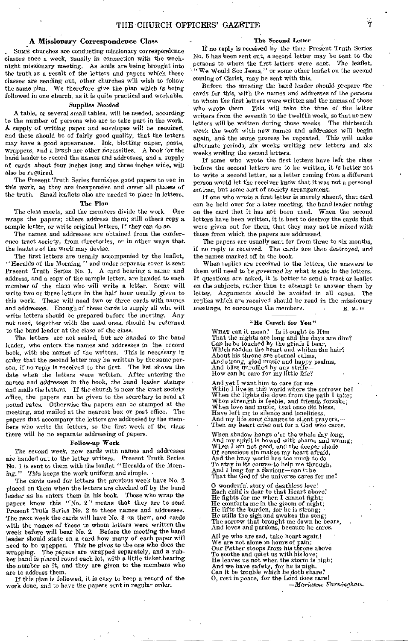## A Missionary Correspondence Class

SOME churches are conducting missionary correspondence classes once a week, *usually in* connection with the weeknight missionary meeting. As souls are being brought into the truth as a result of the letters and papers which these classes are sending out, other churches will wish to follow the same plan. We therefore give the plan which is being followed in one church, as it is quite practical and workable.

#### Supplies Needed

A table, or several small tables, will be needed, according to the number of persons who are to take part in the work. A supply of *writing* paper and envelopes will be required, and these should be of fairly good quality, that the letters may have a good appearance. Ink, blotting paper, paste, wrappers, and a brush are other necessities. A book for the band leader to record the names and addresses, and a supply of cards about four inches long and three inches wide, will also be required.

The Present Truth Series furnishes good papers to use in this work, as they are inexpensive and cover all phases of the truth. Small leaflets also ate needed to place in letters.

#### The Plan

The class meets, and the members divide the work. One *wraps* the papers; others address them; still others copy a sample letter, or write original letters, if they can do so.

The names and addresses are obtained from the conference tract society, from directories, or in other ways that the leaders of the work may devise.

The first letters are usually accompanied by the leaflet, "Heralds of the Morning, " and under separate cover is sent Present Truth Series No. 1. A card bearing a name and address, and a copy of the sample letter, are handed to each member of the class who will write a letter. Some will write two or three letters in the half hour usually given to this work. These will need two or three cards with names and addresses. Enough of these cards to supply all who will write letters should be prepared before the meeting. Any not used, together with the used ones, should be returned to the band leader at the close of the class.

The letters are not sealed, but are handed to the band leader, who enters the names and addresses in the record book, with the names of the writers. This is necessary in order that the second letter may be written by the same person, if no reply is received to the first. The list shows the date when the letters were written. After entering the names and *addresses in* the book, the band leader stamps and mails the letters. If the church is near the tract society office, the papers can be given to the secretary to send at pound rates. Otherwise the papers can be stamped at the meeting, and mailed at the nearest box or post office. The papers that accompany the letters are addressed by the members who write the letters, so the first week of the class there will be no separate addressing of papers.

#### Follow-up Work

The second week, new cards with names and addresses are handed out to the letter Writers. Present Truth Series No. 1 is sent to them with the leaflet "Heralds of the Morning." This keeps the work uniform and simple.

The cards used for letters the previous week have No. 2 placed on them when the letters are checked off by the band leader as he enters them in his book. Those who wrap the papers know this "No. 2" means that they are to send Present Truth Series No. 2 to these names and addresses. The next week the cards will have No. 3 on them, and cards with the names of those to whom letters were written the week before will bear No, 2. Before the meeting the band leader should state on a card how many of each paper will need to be wrapped. This he *gives to* the one who does the wrapping. The papers are wrapped separately, and a rubber band is placed round each lot, with a little ticket bearing the number on it, and they are given to the members who are to address them.

If this plan is followed, it is easy to keep a record of the work done, and to have the papers sent in regular order.

#### The Second Letter

If no reply is received by the time Present Truth Series No. 6 has been sent out, a second letter may be sent to the persons to whom the first letters were sent. The leaflet, "' We Would See Jesus," or some other leaflet on the second coming of Christ, may be sent with this.

Before the meeting the band leader should prepare the cards for this, with the names and addresses of the persons to whom the first letters were written and the names of those who wrote them. This will take the time of the letter writers from the seventh to the twelfth week, so that no new letters will be written during those weeks. The thirteenth week the work with new names and addresses will begin again, and the same process be repeated. This will make alternate periods, six weeks writing new letters and six weeks writing the second letters.

If some who wrote the first letters have left the class before the second letters are to be written, it is better not to write a second letter, as a letter coming from a different person would let the receiver know that it was not a personal matter, but some sort of society arrangement.

If one who wrote a first letter is merely absent, that card can be held over for a later meeting, the band leader noting on the card that it has not been used. When the second letters have been written, it is best to destroy the cards that were given out for them, that they may not be mixed with those from which the papers are addressed.

The papers are usually sent for from three to six months, if no reply is received. The cards are then destroyed, and the names marked off in the book.

When replies are received to the letters, the answers to them will need to be governed by what is said in the letters. If questions are asked, it is better to send a tract or leaflet on the subjects, rather than to attempt to answer them by letter. Arguments should be avoided in all cases. The replies which are received should be read in the missionary meetings, to encourage the members. E. M. G.

#### "He Careth for You"

WHAT can it mean? Is it ought to Him That the nights are long and the days are dim? Can he be touched by the griefs I bear, Which sadden the heart and whiten the hair? About his throne are eternal calms, And strong, glad music and happy psalms, And bliss unruffled by any stri How can he care for my little life?

And yet I want him to care for me While I live in this world where the sorrows be! When the lights die down from the path I take; When strength is feeble, and friends forsake;<br>When love and music, that once did bless,<br>Have left me to silence and loneliness, And my life song changes to silent prayers, — Then my heart cries out for a God who cares.

When shadow hangs o'er the whole day long, And my spirit is bowed with shame and wrong; When I am not good, and the deeper shade Of conscious sin makes my heart afraid, And the busy world has too much to do To stay in its course to help me through, And I long for a Saviour—can it be That the God of the universe cares for me?

0 wonderful story of deathless love! Each child is dear to that Heart above! He fights for me when I cannot fight; He comforts me in the gloom of night; He lifts the burden, for he is strong; He stills the sigh and awakes the song; The sorrow that brought me down he bears, And loves and pardons, because he cares.

All ye who are sad, take heart again! We are not alone in hours of pain; Our Father *stoops from* his throne above To soothe and quiet us with his love; He leaves us not when the storm is high; And we have safety, for he is nigh, Can it be trouble which he doth share?<br>O, rest in peace, for the Lord does care!

*—Marianne Farningham.*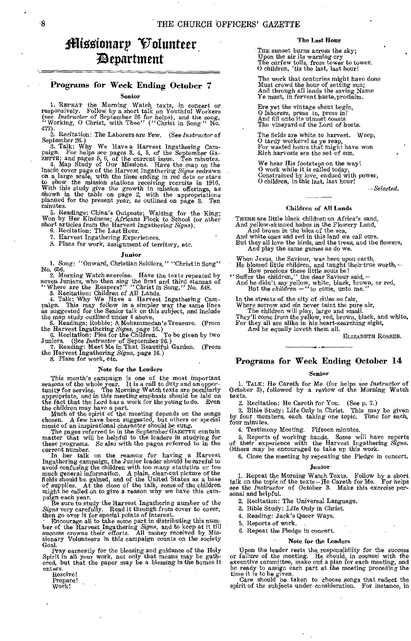## Missionary Oolunteer ;3tparttnent

#### Programs for Week Ending October 7 Senior

1. REPEAT the Morning Watch texts, in concert or responsively. Follow by a short talk on Youthful Workers (see *Instructor* of September 26 for helps), and the song, "Working, O Christ, with Thee" ("Christ in Song" No.

477). 2. Recitation: The Laborers are Few. (See *Instructor* of

September 26.)<br>
3. Talk: Why We Have a Harvest Ingathering Cam-<br>
paign. For helps see pages 3, 4, 5, of the September GA-

ZETTE; and pages 5, 6, of the current issue. Ten minutes. 4. *Map* Study of Our Missions. Have the map on the inside cover page of the Harvest Ingathering *Signs* redrawn on a large scale, with the lines ending in red dots or stars to show the mission stations receiving recruits in 1916. With this study give the growth in mission offerings, as shown in the table on page 2, with the appropriations planned for the present year, as outlined on page 3. Ten minutes.

5. Readings: China's Outposts; Waiting for the King; Won by Her Kindness; Africans Flock to School (or other short articles from the Harvest Ingathering *Signs).* 

6. Recitation: The Last Hour.

7. Harvest Ingathering Experiences.

8. Plans for work, assignment of territory, etc.

#### Junior

1. Song: "Onward, Christian Soldiers," "Christ in Song" No. 656.

2. Morning Watch exercise. Have the texts repeated by seven Juniors, who then sing the first and third stanzas of "Where are the Reapers?" "Christ in Song," No. 548. 3. Recitation: Children of All Lands.

4. Talk: Why We Have a Harvest Ingathering Campaign. This may follow in a simpler way the same lines as suggested for the Senior talk on this subject, and include the map study outlined under 4 above.<br>5. Readings: Robbie;

the Harvest Ingathering *Signs,* page 16.)

8. Plans for work, etc.

#### Note for the Leaders

This month's campaign is one of the most important seasons of the whole year. It is a call to duty and an opportunity for service. The Morning Watch texts are peculiarly appropriate, and in this meeting emphasis should be laid on the fact that the Lord has a work for the y

the children may have a part. Much of the spirit of the meeting depends on the songs chosen. A few have been suggested, but others or special music of an inspirational character should be sung.

The pages referred to in the September GAZETTE contain matter that will be helpful to the leaders in studying for these programs. So also with the pages referred to in the current number.

In her talk on the reasons for having a Harvest<br>Ingathering campaign, the Junior leader should be careful to avoid confusing the children with too many statistics or too much general information. A plain, clear-cut picture of the fields should be gained, and of the United States as a base of supplies. At the close of the talk, so might be called on to give a reason why we have this cam-

paign each year. Be sure to study the Harvest Ingathering number of the

Signs very carefully. Read it through from cover to cover,<br>then go over it for special points of interest.<br>
'Encourage all to take some part in distributing this num-<br>
Encourage all to take some part in distributing this n Goal.

Pray earnestly for the blessing and guidance of the Holy Spirit in all your work, not only that means may be gath-ered, but that the paper may be a blessing in the homes it enters.

Resolve!

Prepare!<br>Work!

#### The Last Hour

THE sunset burns across the sky; Upon the air its warning cry The curfew tolls, from tower to tower. O children, 'tis the last, last hour!

The work that centuries might have done Must crowd the hour of setting sun; And through all lands the saving Name Ye must, in fervent haste,proclaim.

Ere yet the vintage shout begin, 0 laborers, press in, press in! And fill unto its utmost coasts The vineyard of the Lord of hosts.

The fields are white to harvest. Weep, 0 tardy workers! as ye reap, For wasted hours that might have won Rich harvests ere the set of sun.

We hear His footsteps on the way!<br>O work while it is called today,<br>Constrained by love, endued with power,<br>O children, in this last, last hour!

*-Selected.* 

#### Children of All Lands

THERE are little black children on Africa's sand, And yellow-skinned babes in the Flowery Land, And brown in the isles of the sea,

And white ones and red in this land we call ours. But they all love the birds, and the trees, and the flowers, And play the same games as do we.

When Jesus, the Saviour, was here upon earth,

He blessed little children, and taught their true worth, — How precious these little souls be!<br>
"Suffer the children," the dear Saviour said, — And he didn't say yellow, white, black, brown, or red, But the *children* — "

In the streets of the city of cities so fair,

Where sorrow and sin never taint the pure air,

The children wilt play, large and small. They'll come from the yellow, red, brown, black, and white, For they all are alike in his heart-searching sight, And he equally loveth them all.

ELIZABETH ROSSER.

#### Programs for Week Ending October 14

#### Senior

1. TALK: He Careth for Me (for helps see *Instructor* of October 3), followed by a review of the Morning Watch texts.

2. Recitation: He Careth for You. (See p. 7.)

a. Bible Study: Life Only in Christ. This may be given by four members, each taking one topic. Time for each, four minutes.

4. Testimony Meeting. Fifteen minutes.

5. Reports of working bands. Some will have reports of their experience with the Harvest Ingathering *Signs.*  Others may be encouraged to take up this work.

6. Close the meeting by repeating the Pledge in concert.

#### Junior

1, Repeat the Morning Watch Texts. Follow by a short talk on the topic of the texts-He Careth for Me. For helps see the *Instructor* of October 3. Make this exercise personal and helpful.

2. Recitation: The Universal Language.

8. Bible Study: Life Only in Christ.

4. Reading: Jack's Queer Ways,

5. Reports of work.

6. Repeat the Pledge in concert.

#### Note for the Leaders

Upon the leader rests the, responsibility for the success or failure of the meeting. He should, in counsel with the executive committee, make out a plan for each meeting, and<br>be ready to assign each part at the meeting preceding the<br>time it is to be given.<br>Care should be taken to choose songs that reflect the

spirit of the subjects under consideration. For instance, in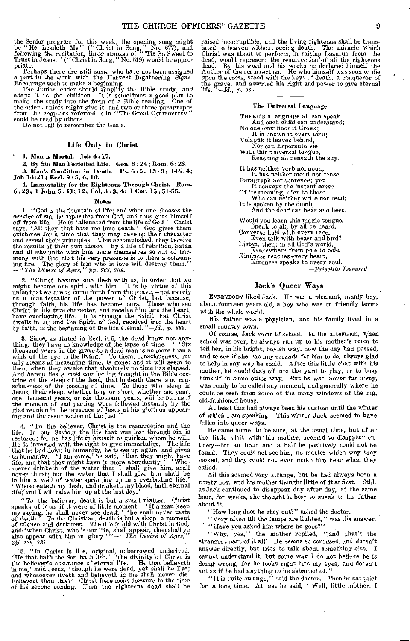the Senior program for this week, the opening song might be "He Leadeth Me" (" Christ in Song," No. 677), and following the recitation, three stanzas of "''Tis So Sweet to<br>Trust in Jesus,'' ("Christ in Song," No. 519) would be appro-

priate. The set of the material some who have not been assigned<br>a part in the work with the Harvest Ingathering Signs.<br>Encourage such to make a beginning.<br>The Junior leader should simplify the Bible study, and<br>adapt it to the older Juniors might give it, and two or three paragraphs from the chapters referred to in "The Great Controversy" could be read by others.

Do not fail to remember the Goals.

#### Life Only in Christ

1. Man is Mortal. Job 4:17.

2. By Sin Man Forfeited Life. Gen. 3 : 24; Rom. 6:23.

3. Man's Condition in Death. Ps. 6 : 5; 13 : 3; 146:4; Job 14:21; Feel. 9:5, 6, 10.

4. Immortality for the Righteous Through Christ. Rom.  $6: 23; 1$  John  $5: 11; 12;$  Col.  $3: 3, 4; 1$  Cor.  $15: 51: 55$ .

#### Notes

1. "God is the fountain of life; and when one chooses the service of sin, he separates from God, and thus cuts himself off from life. He is 'alienated from the life of God.' Christ says, 'All they that hate me love death.' existence for a time that they may develop their character and reveal their principles. This accomplished, they receive the results of their *own* choice. By a life of rebellion, Satan and all who unite with him place themselves so out of har-<br>mony with God that his very presence is to them a consum-<br>ing fire. The glory of him who is love will destroy them."<br>-"The Desire of Ages," pp. 763, 764.

2. "Christ became one flesh with us, in order that we might become one spirit with him. It is by virtue of this union that we are to come forth from the grave, --pot merely as a manifestation of the power of Christ, but because, through faith, his life has become ours. Those who see Christ in his true character, and receive him into the heart, have everlasting life. It is through the Spirit that Christ dwells in us; and the Spirit of God, received by faith, is the beginning of the life eternal.*"—,Id., p. 388.* 

3. Since, as stated in &el. 9:5, the dead know not any-thing, they have no knowledge of the lapse of time. " ' Six thousand years in the grave to a dead man is no more than a wink of the eye to the living.' To them, consciousness, our only means of measuring time, is gone: and it will seem to them when they awake that absolutely no tim And herein lies a most comforting thought in the Bible doctrine of the sleep of the dead, that in death there is no con-sciousness of the passing of time. To those who sleep in Jesus, their sleep, whether long or short, whether one year, one thousand years, or six thousand years, will be but as if the moment of sad parting were followed instantly by the glad reunion in the presence of Jesus at his glorious appearing and the resurrection of the just."

4. "To the believer, Christ is the resurrection and the life. In our Saviour the life that was lost through sin is restored; for he has life in himself to quicken whom he will. He is invested with the right to give immortality. The life that he laid doWn in humanity, he takes up again, and gives to humanity. 'I am come,' he said, 'that they might have life, and that they might have it more abundantly.' ' Who- - soever drinketh of the water that I shall give him, shall never thirst; but the water that I shall give him shall be in him a well of water springing up into everlasting life.'<br>'Whoso eateth my flesh, and drinketh my blood, hath eternal life, and I will raise him up at the last day

"To the believer, death is but a small matter. Christ<br>speaks of it as if it were of little moment. "If a man keep<br>my saying, he shall never see death," he shall never taste<br>of death." To the Christian, death is but a slee *japi 786, 787.* 

5. "In Christ is life, original, unborrowed, underived.<br>
"He that hath the Son hath life." The divinity of Christ is<br>
the believer's assurance of eternal life. "He that believeth<br>
in me,' said Jesus, 'though he were dead,

raised incorruptible, and the living righteous shall be trans-lated to heaven without seeing death. The miracle which Christ was about to perform, in raising Lazarus from the dead, would represent the resurrection of all the righteous dead. By his word and his works he declared himself the Author of the resurrection. He who himself was soon to die upon the *cross,* stood with the keys of death, a conqueror of the grave, and asserted his right and power to give eternal life.  $-Id$ , p. 530.

#### The Universal Language

THERE'S a language all can speak And each child can understand; No one ever finds it Greek;

It is known in every land; Volapuk it leaves behind,

Nor can Esperanto vie With this universal tongue, Reaching all beneath the sky.

It has neither verb nor noun; It has neither mood nor tense,

Paragraph nor sentence; yet It conveys the instant *sense* 

Of its meaning, e'en to those

Who can neither write nor read; It is spoken by the dumb,

And the deaf can hear and heed. Would you learn this magic tongue,

Speak to all, by all be heard, Converse hold with every race, Even talk with beast and bird? Listen, then; in all God's world, Everywhere from pole to pole, Kindness reaches every heart,

Kindness speaks to every soul.

*—Priscilla Leonard.* 

#### Jack's Queer Ways

EVERYBODY liked Jack. He was a pleasant, manly boy, about fourteen years old, a boy who was on friendly terms with the whole world.

His father was a physician, and his family lived in a small country town.

Of course, Jack went to school. In the afternoon, when school was over, he always ran up to his mother's room to tell her, in his bright, boyish way, how the day had passed, and to see if she had any *errands for him* to do, always glad to help in any way he could. After this little chat with his mother, he would dash off into the yard to play, or to busy himself in some other way. But he was never far away, was ready to be called any moment, and generally where he could be seen from some of the many windows of the big, old-fashioned house.

At least this had always been his custom until the winter of which I am speaking. This winter Jack seemed to have fallen into queer ways.

He came home, to be sure, at the usual time, but after the little visit with' his mother, seemed to disappear entirely—for an hour and a half he positively could not be found. They could not see him, no matter which way they looked, and they could not even make him hear when they called.

All this seemed very strange, but he had always been a trusty boy, and his mother thought little of it at first. Still, as Jack continued to disappear day after day, at the same hour, for weeks, she thought it best to speak to his father about it.

"How long does he stay out?" asked the doctor.

"Very often till the lamps are lighted," was the answer.

"Have you asked him where he goes?"

"Why, yes," the mother replied, "and that's the strangest part of it all! He seems so confused, and doesn't answer directly, but *tries* to talk about something else. cannot understand it, but some way I do not believe he is doing wrong, for he looks right into my eyes, and doesn't act as if he had anything to be ashamed *of."* 

*"It* is quite strange," said the doctor. 'Then he sat quiet for a long time. At last he said, "Well, little mother, I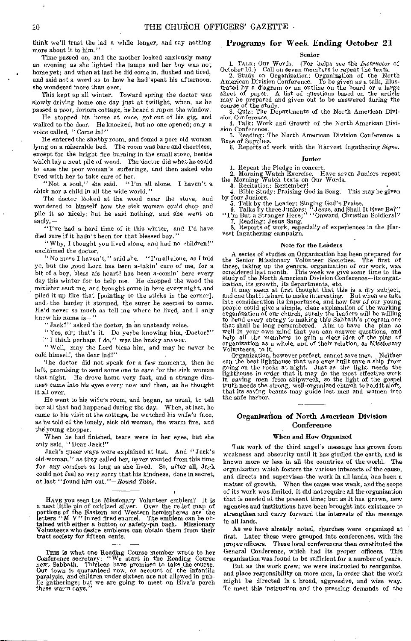think we'll trust the lad a while longer, and say nothing more about it to him."

Time passed on, and the mother looked anxiously many an evening *as* she lighted the lamps and her boy was not home yet; and when at last he did come in, flushed and tired, and said not a word as to how he had 'spent his afternoon, she wondered more than ever.

This kept up all winter. Toward spring the doctor was slowly driving home one day just at twilight, when, as he passed a poor, forlorn cottage, he heard a rap on the window.

He stopped his horse at once, got out of his gig, and walked to the door. He knocked, but no one opened; only a voice called, "Come in!"

He entered the shabby room, and found a poor old woman lying on a miserable bed. The room was bare and cheerless, except for the bright fire burning in the small stove, beside which lay a neat pile of wood. The'doctor did what he could to ease the poor woman's sufferings, and then asked who lived with her to take care of her.<br>"Not a soul," she said. "I'

"'I'm all alone. I haven't a chick nor a child in all the wide world."

The doctor looked at the wood near the stove, and wondered to himself how the sick woman could chop and pile it so nicely; but he said nothing, and she went on sadly, —

"I've had a hard time of it this winter, and I'd have died sure if it hadn't been for that blessed boy."

" Why, I thought you lived alone, and had no children!" exclaimed the doctor.

"No more I haven't," said she. "I'm all alone, as I told ye, but the good Lord has been a-takin' care of me, for a bit of a boy, bless his heart! has been a-comin' here every day this winter for to help me. He chopped the wood the minister sent me, and brought some in here every night, and piled it up like that [pointing to the sticks in the corner], and, the harder it stormed, the surer he seemed to come. He'd never so much as tell me where he lived, and I only know his name is—"

"Jack?" asked the doctor, in an unsteady voice.

"Yes, sir; that's it. Do yethe knowing him, Doctor?"

'" I think perhaps I do," was the husky answer.

" Well, may the Lord bless him, and may he never be cold himself, the dear lad!"

The doctor did not speak for a few moments, then he left, promising to send some one to care for the sick woman that night. He drove home very fast, and a strange dimness came into his eyes every now and then, as he thought it all over.

He went to his wife's room, and began, as usual, to tell her all that had happened during the day. When, at last, he came to his visit at the cottage, he watched his wife's face, as he told of the lonely, sick old woman, the warm fire, and the young chopper.

When he had finished, tears were in her eyes, but she only said, " Dear Jack!"

Jack's queer ways were explained at last. And "Jack's old woman," as they called her, never wanted from this time for any comfort as long as she lived. So, after all, Jack could not feel so very sorry that his kindness, done in secret, at last "found him out."—Round *Table.* 

HAVE you seen the Missionary Volunteer emblem? It is<br>a neat little pin of oxidized silver. Over the relief map of<br>portions of the Eastern and Western hemispheres are the<br>letters "M V" in red fired enamel. The emblem can be Volunteers who desire emblems can obtain them from their tract society for fifteen cents.

This is what one Reading Course member wrote to her Conference secretary: "We start in the Reading Course next Sabbath. Thirteen have promised to take the course. Our town is guaranteed now, on account of the infantile paralysis, and children under sixteen are not allowed in pub-lic gatherings; but we are going to meet on Elva's porch these warm days."

#### Programs for Week Ending October 21

#### Senior

1. TALK: Our Words. (For helps see the *Instructor* of October 10.) Call on seven members to repeat the texts. 2. Study on Organization: Organization of the North

American Division Conference. To be given as a talk, illus-trated by a diagram or an outline on the board or a large sheet of paper. A list of, questions based on the article may be prepared and given out to be answered during the course of the study.

3. Quiz: The Departments of the North American Division Conference.

4. Talk: Work and Growth of the North American Divi-sion Conference. 5. Reading: The North American Division Conference a

Base of Supplies.

6. Reports of work with the Harvest Ingathering *Signs.* 

#### Junior

1. Repeat the Pledge in concert.<br>
2. Morning Watch Exercise. Have seven Juniors repeat<br>
the Morning Watch texts on Our Words.<br>
3. Recitation: Remember!

4. Bible Study: Praising God in Song. This may be given by four Juniors. 5. Talk by the Leader: Singing God's Praise.

6. Talks by three Juniors:  $^{14}$  Jesus, and Shall It Ever Be?" <br>"I'm But a Stranger Here;" "Onward, Christian Soldiers!"

7. Reading: Jesus Sang.<br>
8. Reports of work, especially of experiences in the Harvest Ingathering campaign.

#### Note for the Leaders

A series of studies on Organization has been prepared for<br>the Senior Missionary Volunteer Societies. The first of<br>these, taking up the general organization of our work, was<br>considered last month. This week we give some tim

ization, its growth, its departments, etc. It may seem at first thought that this is a dry subject, and one that it is hard to make interesting. But when we take into consideration its importance, and how few of our young people could give a simple, clear explanation of the working organization of our church, surely the leaders will be willing<br>to bend every energy to making this Sabbath's program one<br>that shall be long remembered. Aim to have the plan so<br>well in your own mind that you can answer ques Volunteers, to it.

Organization, however perfect, cannot save men. Neither can the best lighthouse that was ever built save a ship from going on the rocks at night. Just as the light needs the lighthouse in order that it may do the most effective work in saving men from shipwreck, so the light of the gospel truth needs the strong, well-organized church to hold it aloft, that its saving beams may guide lost men and women into the safe harbor.

#### Organization of North American Division **Conference**

#### When and How Organized

THE work of the third angel's message has grown from weakness and obscurity until it has girdled the earth, and is known more or less in all the countries of the world. The organization which fosters the various interests of the cause, and directs and supervises the work in all lands, has been a matter of growth. When the cause was weak, and the scope of its work was limited, it did not require all the organization that is needed at the present time; but as it has grown, new agencies and institutions have been brought into existence to strengthen and carry forward the interests of the message in all lands.

As we have already noted, churches were organized at first. Later these were grouped into conferences, with the proper officers. These local conferences then constituted the General Conference, which had its proper officers. This organization was found to be sufficient for a number of years.

But as the work grew, we were instructed to reorganize, and place responsibility on more men, in order that the work might be directed in a broad, aggressive, and wise way. To meet this instruction and the pressing demands of the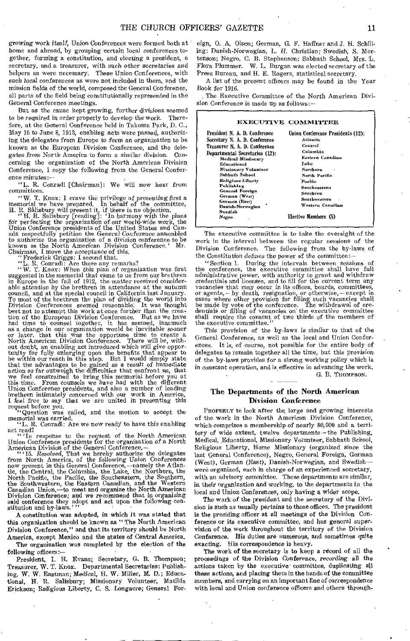*growing* work itself, Union Conferences were formed both at home and abroad, by grouping certain local conferences together, forming a constitution, and electing a president, a secretary, and a treasurer, with such other secretaries *and*  helpers as were necessary. These Union Conferences, with such *local conferences* as were not included in them, and the mission fields of the world, composed the General Conference, all parts of the field being constitutionally represented in the General Conference meetings.

But as the cause kept growing, further divisions seemed to be required in order properly to develop the work. Therefore, at the General Conference held in Takoma Park, D. C., May 15 to June 8, 1913, enabling acts were passed, authorizing the delegates from Europe to form an *organization* to be known as the European Division Conference, and the delegates from North America to form a similar division. Concerning the organization of the North American Division Conference, I copy the following from the General Conference minutes:—

"L. R. Conradi [Chairman]: We will now hear from committees.

" W. T. Knox: I crave the privilege of presenting first a memorial we have prepared. In behalf of the committee,

H. R. Shlisbury will present it, if there is no objection. "H. R. Salisbury [reading]: 'In harmony with the plans Air perfecting the organization of our world-wide work, the Union Conference presidents of the United States and Can-ada respectfully petition the General Conference assembled to authorize the organization of a division conference to be known as the North American Division Conference.' Mr. Chairman, I move the acceptance *of this.* 

"Frederick Griggs: I second that. "L. R. Conradi: Are there any remarks? " W. T. Knox: When this plan of organization was first suggested in the memorial that came to us from our brethren in Europe in the fall of 1912, the matter received consider-able *attention* by the brethren in attendance at the autumn council, and at the special council in California last January. To most of the brethren the plan of dividing the world into Division Conferences seemed reasonable. It was thought best not to attempt this work at once further than the creation of the European Division Conference. But as as a change in our organization would be inevitable sooner<br>or later, that this was the opportune time to create a or later, that this was the opportune time to create a North American Division Conference. There will be, without doubt, an enabling act introduced which will *give* oppor-tunity for fully enlarging upon the benefits that appear to be within our reach in this step. But I would simply state that the advantages to be gained *as a* result of immediate action so far outweigh the difficulties that confront us, that we feel constrained to bring this memorial before you at this time. From counsels we have had with the different Union Conference presidents, and also a number of leading brethren intimately concerned with our work in America, I feel free to say that we are united in presenting this

request before you. "Question was called, and the motion to accept the memorial was carried.<br>
"L. R. Conradi: Are we now ready to have this enabling

act read?

In response to the request of the North American Union Conference presidents for the organization of a North

American Division of the General Conference, — " '15. *Resolved,* That we hereby authorize the delegates from North America, of the following *Union* Conferences now present in this General Conference, —namely the Atlan-tic, the Central, the Columbia, the Lake, the Northern, the North Pacific, the Pacific, the Southeastern, the Southern, the Southwestern, the Eastern Canadian, andi the Western Canadian Union,—to meet and organize the North American Division Conference; and we *recommend* that in organizing said conference they adopt and act upon the following constitution and by-laws.'''

A constitution was adopted, in *which it* was stated that this organization should be known as "The North American Division Conference," and that its territory should be North America, except Mexico and the states of Central America.

The organization was completed by the election of the following officers:—

President, I. H. Evans; Secretary, G. B. Thompson; Treasurer, W. T. Knox. Departmental Secretaries: Publishing, W. W. Eastman; Medical, H. W. Miller, M. D.; Educational, H. R. Salisbury; Missionary Volunteer, Matilda Erickson; Religious Liberty, C. S. Longaere; General Foreign, 0. A. Olsen; German, G. F. Haffner and J. H. Schilling: Danish-Norwegian, L. H. Christian; Swedish, S. Mortensen; Negro, C. B. Stephenson; Sabbath School, Mrs. L. Flora Plummer. W. L. Burgan was elected secretary of the Press Bureau, and H. E. Rogers, statistical secretary.

A list of the present officers may be found in the Year Book for 1916.

The Executive Committee of the North American Division Conference is made up as follows:—

#### EXECUTIVE COMMITTEE President N. A. D. Conference Secretary N. A. D. Conference Treasurer N. A. D. Conference Departmental Secretaries (12): Medical Missionary Educational Missionary Volunteer Sabbath School Religious Liberty Publishing<br>General Foreign German (West) German (East) Danish-Norwegian Swedish *Negro*  Union Conference Presidents (12): Atlantic Central Columbia Eastern Canadian *Lake*  Northern North Pacific Pacific Southeastern Southern Southwestern Western Canadian Elective Members (5)

The executive committee is to take the oversight of the work in the interval between the regular sessions of the Division Conference. The following from the by-laws of the Constitution *defines* the *power* of the committee:—

"Section 1. During the intervals between sessions of the conference, the executive committee shall have full administrative power, with authority to grant and withdraw credentials and licenses, and to fill for the current term any vacancies that may occur in its offices, boards, committees, or agents, — by death, resignation, or otherwise, — except in cases where other provision for filling such vacancies shall be made by vote of the conference. The withdrawal of credentials or *filling* of vacancies on' the executive committee shall require the consent of two thirds of the members of the executive committee."

This provision of the by-laws is similar to that of the General Conference, as well as the local and Union Conferences. It is, of course, not possible for the entire body of delegates to remain together all the time, but this *provision*  of the by-laws provides for a strong working policy which is in constant operation, and is effective in advancing the work. G. B. THOMPSON.

The Departments of the North American Division Conference

PROPERLY to look after the, large and growing interests of the work in the North American Division Conference, which comprises a membership of nearly 80,000 and a territory of wide extent, twelve departments—the Publishing, Medical, Educational, Missionary Volunteer, Sabbath School, Religious Liberty, Home Missionary (organized since the last General Conference), Negro, General Foreign, German (West), German (East), Danish-Norwegian, and Swedish were organized, each in charge of an experienced secretary, with an advisory committee. These departments are similar, in their organization and working, to the departments *in* the local and Union Conferences, only having a wider scope.

The work *of* the president and the secretary of the Division is such as usually pertains to those offices. The president is the presiding officer at all meetings of the Division Conference or its executive committee, and has general supervision of the work throughout the territory of the Division Conference. His duties are numerous, and sometimes quite exacting. His correspondence is heavy.

The work of the secretary is to keep a record of all the proceedings of the Division Conference, recording all the actions taken by the executive committee, duplicating all these actions, and placing them in the hands of the committee members, and carrying on an important line of correspondence with local and Union conference officers and others through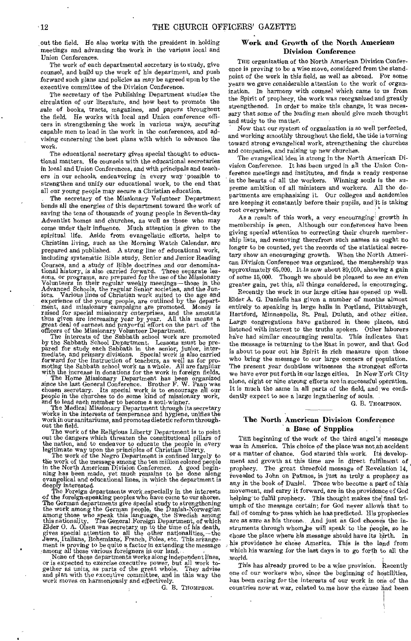out the field. He also works with the president in, holding meetings and advancing the work in the various local and Union Conferences.

The work of each departmental secretary is to study, give counsel, and build up the work of his department, and push forward such plans and policies as may be agreed upon by the executive committee of the Division Conference.

The secretary of the Publishing Department studies the circulation of our literature, and how best to promote the sale of books, tracts, magazines, and papers throughout the field. He works with local and Union conference officers in strengthening the work in various ways, securing capable men to lead in the work in the conferences, and advising concerning the best plans with which to advance the work.

The educational secretary gives special thought to educational matters. He counsels with the educational secretaries in local and Union Conferences, and with principals and teachers in our schools, endeavoring in every way possible to strengthen and unify our educational work, to the end that all our young people may secure a Christian education.

The secretary of the Missionary Volunteer Department bends all the energies of this department toward the work of saving the tens of thousands of young people in Seventh-day Adventist homes and churches, as well as those who may come under their influence. Much attention is given to the spiritual life. Aside from evangelistic efforts, helps to Christian living, such as the Morning Watch Calendar, are prepared and published. A strong line of educational work, including systematic Bible study, Senior and Junior Reading Courses, and a study of Bible doctrines and our denominational history, is also carried forward. Three separate lessons, or programs, are prepared for the use of the Missionary Volunteers in their regular weekly meetings—those in the Advanced Schools, the regular Senior societi iors. Various lines of Christian work suited to the age and experience of the young people, are outlined by the department, and missionary campaigns are promoted. Money is raised for special missionary enterprises, and the amounts thus given are increasing year by year. All this me

officers of the Missionary Volunteer Department.<br>The interests of the Sabbath school work are promoted<br>by the Sabbath School Department. Lessons must be pre-<br>pared for study each Sabbath in the senior, junior, inter-<br>media

The Home Missionary Department has been organized since the last General Conference. Brother F. W. Paap was chosen secretary. Its special work is to encourage all our people in the churches to do some kind of missionary work, and to lead each member to become a soul-winner.

The Medical Missionary Department through its secretary works in the interests of temperance and hygiene, unifies the work in our sanitariums, and promotes dietetic reform throughout the field.

The work of the Religious Liberty Department is to point out the dangers which threaten the constitutional pillars of the nation, and to endeavor to educate the people in every legitimate way upon the principles of Christian liberty.

The work of the Negro Department is confined largely to the work of the message among the ten million colored people<br>in the North American Division Conference. A good begin-<br>ning has been made, yet much remains to be done along<br>evangelical and educational lines, in which the de

The Foreign departments work, especially in the interests of the foreign-speaking peoples who have come to our shores. The German departments give special study to strengthening the work among the German people, the Danish-Norwegian among those who speak this language, the Swedish among this nationality. The General Foreign Department, of which Elder O. A. Olsen was secretary up to the time of his death, gives special attention to all the other nation Jews, Italians, Bohemians, French, Poles, etc. This arrange-ment is proving to be quite a factor in extending the message ;among all these various foreigners in our land.

None of these departments works along independent lines, or is expected to exercise executive power, but all work to-gether as units, as parts of the great whole, They advise and plan with the executive committee, and in this way the work moves on harmoniously and effectively.

G. B. THOMPSON.

#### Work and Growth of the North American Division Conference

THE organization of the North American Division Conference is proving to be a wise move, considered from the standpoint of the work in this field, as well as abroad. For some years we gave considerable attention to the work of organization. In harmony with counsel which came to us from the Spirit of prophecy, the work was reorganized and greatly strengthened. In order to make this change, it was necessary that some of the leading men should give much thought and study to the matter.

Now that our system of organization is so well perfected, and working smoothly throughout the field, the tide is turning toward strong evangelical work, strengthening the churches and companies, and raising up new churches.

The evangelical idea is strong in the North American Division Conference. It has been urged in all the Union Conference meetings and institutes, and finds a ready response in the hearts of all the workers. Winning souls is the supreme ambition of all ministers and workers. All the departments are emphasizing it. Our colleges and academies are keeping it constantly before their pupils, and it is taking root everywhere.

As a result of this work, a very encouraging' growth in membership is seen. Although our conferences' have been giving special attention to correcting their church membership lists, and removing therefrom such names as ought no longer to be counted, yet the records of the statistical secretary show an encouraging growth. When the North American Division Conference was organized, the membership was approximately 65,000. It.is now about 80,000, showing a gain of some 15,000. Though we should be pleased to see an even greater gain, yet this, all things considered, is encouraging.

Recently the work in our large cities has opened up well. Elder A. G. Daniells has given a number of months almost entirely to speaking in large halls in Portland, Pittsburgh, Hartford, Minneapolis, St. Paul, Duluth, and other cities. Large congregations have gathered in these places, and listened with interest to the truths spoken. Other laborers have had similar encouraging results. This indicates that the message is returning to the East in power, and that God is about to pour out his Spirit in rich measure upon those who bring the message to our large centers of population. The present year doubtless witnesses the strongest efforts we have ever put forth in our large cities. In New York City alone, eight or nine strong efforts are in successful operation. It is much the same in all parts of the field, and we confidently expect to see a large ingathering of souls.

G. B. THOMPSON.

#### The North American Division Conference a Base of Supplies

THE beginning of the work of the third angel's message was in America. This choice of the place was not an accident or a matter of chance. God started this work. Its development and growth at this time are in direct fulfilment of prophecy. The great threefold message of Revelation 14, revealed to John on patmos, is just as truly a prophecy as any in the book of Daniel. Those who become a part of this movement, and carry it forward, are in the providence of God helping to fulfil prophecy. This thought makes the' final triumph of the message certain; for God never allows that to fail of coming to- pass which he has predicted. His prophecies are as sure as his throne. And just as God chooses the instruments through whom he will speak to the people, so he chose the place where his message should have its birth. In his providence he chose America. This is the land from which his warning for the last days is to go forth to all the world.

This has already proved to be a wise provision, Recently one of our workers who, since the beginning of hostilities, has been caring for the interests of our work in one of the countries now at war, related to me how the cause had been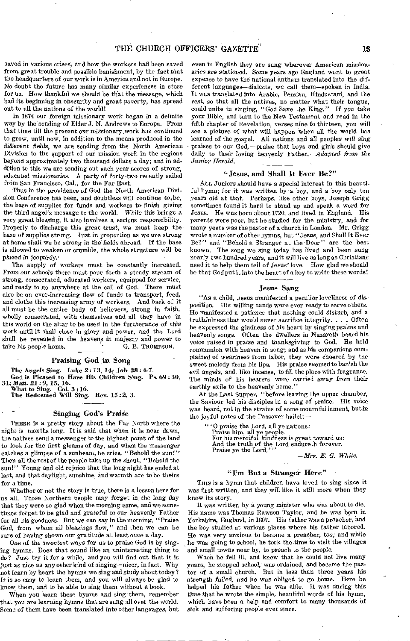saved in various crises, and how the workers had been saved from great trouble and possible banishment, by the fact that the headquarters of our work is in America and not in Europe. No doubt the future has many similar experiences in store for us. How thankful we should be that the message, which had its beginning in obscurity and great poverty, has spread out to all the nations of the world!

In 1874 our foreign missionary work began in a definite way by the sending of Elder J. N. Andrews to Europe. From that time till the present our missionary work has continued to grow, until now, in addition to the means produced in the different fields, we are sending from the North American Division to the support of our mission work in the regions beyond approximately two thousand dollars a day; and in addition to this we are sending out each year scores of strong, educated missionaries. A party of forty-two recently sailed from San Francisco, Cal., for the Far East.

Thus in the providence of God the North American Division Conference has been, and doubtless will continue to, be, the base of supplies for funds and workers to. finish giving the third angel's message to the world. While this brings a very great blessing, it also involves a serious responsibility. Properly to discharge this great trust, we must keep the base of supplies strong. Just in proportion as we are strong at home shall we be *strong* in the fields abroad. If the base is allowed to weaken or crumble, the whole structure will be placed *in jeopardy.'* 

The supply of workers must be constantly increased. From our schools there must pour forth a steady stream of strong, consecrated, educated workers, equipped for service, and ready to go anywhere at the call of God. There must also be an ever-increasing flow of funds to transport, feed, and clothe this increasing army of workers. And back of it all must be the entire body of believers, strong in faith, wholly consecrated, with themselves and all they have in this world on the altar to be used in the furtherance *of* this work until it shall close in glory and power, and the Lord shall be revealed in the heavens *in majesty* and power to take his people home. G. B. THOMPSON.

#### Praising God in Song

The Angels Sing. Luke 2: 13, 14; Job 38: 4-7.

God is Pleased to Have His Children Sing. Ps. 69:30,<br>31; *Matt.* 21:9, 15, 16.<br>What to Sing. Col. 3:16.

The Redeemed Will Sing. Rev. 15 :2, 3.

## Singing God's Praise

THERE is a pretty story about the Far North where the night *is* months long. It is said that when it is near dawn, the natives send a messenger to the highest point of the land to look for the first gleams of day, and when the messenger catches a glimpse of a sunbeam, he cries, "Behold the sun!" Then all the rest of the people take up the shout, "Behold the sun!" Young and old rejoice that the long night has ended at last, and that daylight, sunshine, and warmth are to be theirs for a'time.

Whether or not the story is true, there is a lesson here for us all. Those Northern people may forget in, the long day that they were so glad when the morning came, and we sometimes forget to be glad and grateful to our heavenly Father for all his goodness. But we can say in the morning, "Praise God, from whom all *blessings flow,"* and then we can be sure of having shown our gratitude at least once a day.

One of the sweetest ways for us to praise God is by singing hymns. Does that sound like an uninteresting thing to do? Just try it for a while, and you will find out that it is just as nice as any other kind of singing—nicer, in fact. Why not learn by heart the hymns we sing and study about today? It is so easy to learn them, and you will always be glad to know. them, and to be able to sing them without a book.

When you learn these hymns and sing'them, remember that you are learning hymns that are sung all over the world. Some of them have been translated into other *languages, but* 

even in English they are sung wherever American missionaries are stationed. Some years ago England went to great expense to have the national anthem translated into the different languages—dialects, we call them—spoken in India. It was translated into Arabic, Persian, Hindustani, and the rest, so that all the natives, no matter what their tongue, could unite in singing, "God Save the King." If you take your Bible, and turn to the New Testament and read in the fifth chapter of Revelation, verses nine to thirteen, you will see a picture of what will happen when all the world has learned of the gospel. All nations and all peoples will *sing*  praises to our God, — praise -that boys and girls should give daily to their loving heavenly *Father.—Adapted from the Junior Herald. — —* —

#### "Jesus, and Shall It Ever Be?"

ALL Juniors should have a special interest in this beautiful hymn; for it was written by a boy, and a boy only ten *years* old at that. Perhaps, like other boys, Joseph Grigg sometimes found it hard to stand up and speak a word for Jesus. He was born about 1720, and lived in England. His parents were poor, but he studied for the ministry, and for many years was the pastor of a church in London, Mr. Grigg wrote a number of other hymns, but "Jesus, and Shall It Ever Be?" and "Behold a Stranger at the Door " are the best known. The song we sing today has lived and been *sung*  nearly two hundred years, and it will live as long as Christians need it to help them tell of Jesus' love. How glad we should be that God put it into the heart of a boy to write these words!

#### Jesus Sang

"As a child, Jesus manifested a peculiar loveliness of disposition. His willing hands were ever ready to serve others. He manifested a patience that nothing could disturb, and a truthfulness that would never sacrifice integrity. . . , Often he expressed the gladness of his heart by *singing* psalms and heavenly songs. Often the dwellers in Nazareth heard his voice raised in praise and thanksgiving to God. He held communion with heaven in song; and as his companions complained *of* weariness from labor, they were cheered by the sweet melody from his lips, His praise seemed to banish the evil angels, and, like incense, to fill the place with fragrance. The minds of his hearers were carried away from their earthly exile to the heavenly home."

At the Last Supper, "before leaving the upper chamber, the Saviour led his disciples in a song of praise. His voice was heard, not in the strains of some mournful lament, but *in*  the joyful notes of the Passover hallel:  $-$ 

" ' 0 praise the Lord, all ye nations:

Praise him, all ye people. For his merciful kindness is great toward us:

And the truth of the Lord endureth forever.<br>Praise ye the Lord,'''

*—Mrs. E. G. White.* 

#### "I'm But a Stranger Here"

THIS is a hymn that children have loved to sing since it was first written, and they will like it still more when they know its story.

It was written by a young minister who was about to die. His name was Thomas Rawson Taylor, and he was born in Yorkshire, England, in 1807. His father was a preacher, and the boy studied at various places where his father labored. He was very anxious to become a preacher, too; and while he was going to school, he took the -time to visit the villages and small towns near by, to preach to the people.

When he fell ill, and knew that he could not live many years, he stopped school, was ordained, and became the pastor of a small church. But in less than three years his strength failed, and he was obliged to go home. Here he helped his father when he was able. It was during this time that he wrote the simple, beautiful words of his hymn, which have been a help and comfort to many thousands of sick and suffering people ever since.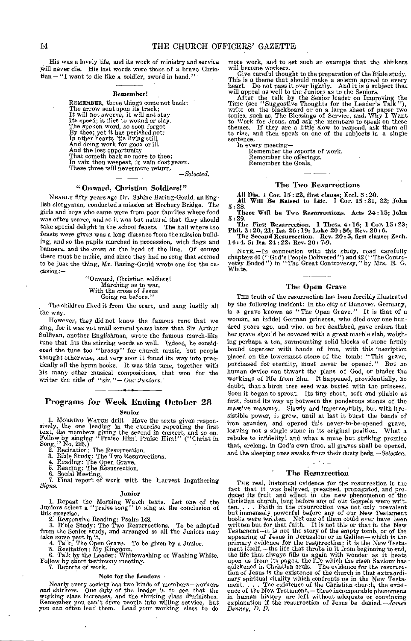His was a lovely life, and its work of ministry and service will never die. His last words were those of a brave Christian — "I want to die like a soldier, sword in hand."

#### Remember!

REMEMBER, three things come not back: The arrow sent upon its track; It will not swerve, it will not stay Its speed; it flies to wound or Say. The spoken word, so soon forgot By thee; yet it has perished not:<br>In other hearts 'tis living still,<br>And doing work for good or ill.<br>And the lost opportunity<br>That cometh back no more to thee; In vain thou weepest, in vain dost yearn. These three will nevermore return.

*—Selected.* 

#### "Onward, Christian Soldiers!"

NEARLY fifty years ago Dr. Sabine Baring-Gould, an English clergyman, conducted a mission at Horbury Bridge. The girls and boys who came were from poor families where food was often scarce, and so it was but natural that they should take special delight in the school feasts. The hall where the feasts were given was a long distance from the mission building, and so the pupils marched in procession, with flags and banners, and the cross at the head of the line. Of course there must be music, and since they had no song that seemed to be just the thing, Mr. Baring-Gould wrote one for the occasion:—

> "Onward, Christian soldiers! Marching as to war, With the cross of Jesus Going on before."

The children liked it from the start, and sang lustily all the way.

However, they did not know the famous tune that we sing, for it was not until several years later that Sir Arthur Sullivan, another Englishman, wrote the famous march-like tune that fits the stirring words so well. Indeed, he considered the tune too "brassy" for church music, but people thought otherwise, and very soon it found its way into practically all the hymn books. It was this tune, together with his many other musical compositions, that won for the writer the title of "sir."- Our Juniors.

## Programs for Week Ending October 28

Senior

1. MORNING WATCH drill. Have the texts given responsively, the one leading in the exercise repeating the first text, the members giving the second in concert, and so on. Follow by singing "Praise Him! Praise Him!" ("Chris

3. Bible Study: The Two Resurrections. 4. Reading: The Open Grave. 5. Reading: The Resurrection. 6. Social Meeting.

7. Final report of work with the Harvest Ingathering *Signs.* 

#### Junior

I. Repeat the Morning Watch texts. Let one of the Juniors select a "praise song" to sing at the conclusion of this exercise. 2. Responsive Reading: Psalm 148.

3. Bible Study: The Two Resurrections. To be adapted from the Senior study, and arranged so all the Juniors may take some part in it.<br>
4. Talk: The Open Grave. To be given by a Junior.

5. Recitation: My Kingdom. 6. Talk by the Leader: Whitewashing or Washing White. Follow by short testimony meeting.

7. Reports of work.

#### Note for the Leaders

Nearly every society has two kinds of members—workers and shirkers. One duty of the leader is to see that the working class increases, and the shirking class diminishes.<br>Remember you can't drive people into willing service, but<br>you can often lead them. Lead your working class to do more work, and to set such an example that the shirkers will become workers.

Give careful thought to the preparation of the Bible study.<br>This is a theme that should make a solemn appeal to every<br>heart. Do not pass it over lightly. And it is a subject that<br>will appeal as well to the Juniors as to th

After the talk by the Senior leader on Improving the Time (see "Suggestive Thoughts for the Leader's Talk"), write on the blackboard or on a large sheet of paper two topics, such as, The Blessings of Service, and, Why I Wa sentence.

In every meeting— Remember the reports of work. Remember the offerings.

Remember the Goals,

#### The Two Resurrections

All Die. 1 Cor. 15 : 22, first clause; Feel. 3 : 20. All Will Be Raised to Life. 1 Cor. 15 : 21, 22; John

5 : 28.

There Will he Two Resurrections. Acts 24:15; John 5 : 29.

The First Resurrection. 1 Thess. 4:16; 1 Cor. 15 : 23; Phil. 3 : 20, 21; Isa. 26 :19; Luke 20 : 36; Rev. 20 : 6. The Second Resurrection. Rev. 20 : 5, first clause; Zech.

14 : 4, 5; Isa. 24 :22; Rev. 20: 7-9.

NOTE. —In connection with this study, read carefully chapters 40 ("God's People Delivered ") and 42 ("The Contro-versy Ended ") in "The Great Controversy," by Mrs. E. G. White.

#### The Open Grave

THE truth of the resurrection *has* been forcibly illustrated by the following incident: In the city of Hanover, Germany, is a grave known as "The Open Grave." It is that of a woman, an infidel German princess, who died over one hundred years ago, and who, on her deathbed, gave orders that her grave should be covered with a great marble slab, weighing perhaps a ton, surmounting solid blocks of stone firmly bound together with bands of iron, with this inscription placed on the lowermost stone of the tomb: "This grave, purchased for eternity, must never be opened." But no human device can thwart the plans of God, or hinder the workings of life from him. It happened, providentially, no doubt, that a birch tree seed was buried with the princess. Soon it began to sprout. Its tiny shoot, soft and pliable at first, found its way up between the ponderous stones of the massive masonry. Slowly and imperceptibly, but with irresistible power, it grew, until at last it burst the bands of iron asunder, and opened this never-to-be-opened grave, leaving not a single stone in its original position. What a rebuke to infidelity! and what a mute but striking promise that, erelong, in God's own time, all graves shall be opened, and the sleeping ones awake from their dusty beds. *—Selected.* 

#### The Resurrection

THE real, historical evidence for the resurrection is the fact that it was believed, preached, propagated, and produced its fruit and effect in the new phenomenon of the Christian church, long before any of our Gospels we but immensely powerful before any of our New Testament<br>books were written. Not one of them could ever have been<br>written but for that faith. It is not this or that in the New<br>Testament—it\_is not the story of the empty tomb, appearing of Jesus in Jerusalem or in Galilee—which is the primary evidence for the resurrection; it is the New Testament itself,—the life that throbs in it from beginning to end, the life that always fills us again with w upon us from its pages, the life which the risen Saviour has • quickened in Christian souls. The evidence for the resurrec-tion of Jesus is the existence of the church in that extraordinary spiritual vitality which confronts us in the New Testament. . . . The existence of the Christian church, the exist-ence of the New Testament, — these incomparable phenomena in human history are left without adequate or convincing explanation if the resurrection of Jesus be denied. *—James Denney, D. D.*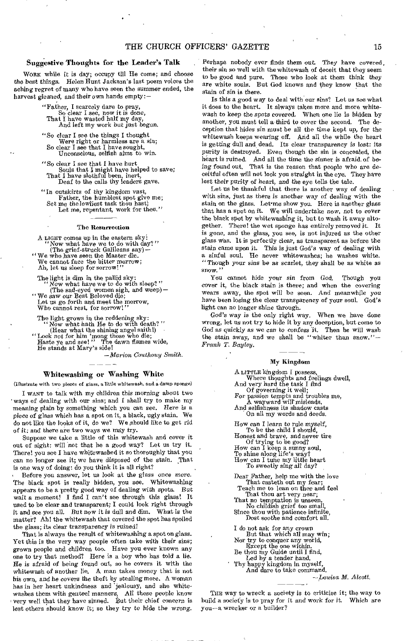#### Suggestive Thoughts for the Leader's Talk

WORK while it is day; occupy till He come; and choose the best things. Helen Hunt Jackson's last poem voices the aching regret of many who have seen the summer ended, the harvest gleaned, and their own hands empty:-

> "Father, I scarcely dare to pray, So clear I see, now it is done, That I have wasted half my day, And left my work but just begun,

> "So clear I see the things I thought Were right or harmless are a sin; So clear I see that I have sought, Unconscious, selfish aims to win.

"So clear I see that I have hurt Souls that I might have helped to save; That I have slothful been, inert, Deaf to the calls thy leaders gave.

"In outskirts of thy kingdom vast, Father, the humblest spot give me; Set me the *lowliest* task thou hast! Let me, repentant, work for thee."

#### The Resurrection

A LIGHT comes up in the eastern sky:<br>
"Now what have we to do with day?"<br>
(The grief-struck Galileans say)-

" We who have seen the Master die. We cannot face the bitter morrow; Ah, let us sleep for sorrow!"

The light is dim in the pallid sky: Now what have we to do with sleep?" (The sad-eyed women sigh, and weep)—

" We saw our Best Beloved die; Let us go forth and meet the morrow, Who cannot rest, for sorrow!"

- The light grows in the reddening sky:<br>"Now what hath He to do with death?"
- (Hear what the shining angel saith!) "Look not for him 'mong those who die; Haste ye and see! " The dawn flames wide, He stands at Mary's side!

*—Marion Couthouy* 

#### Whitewashing or Washing White

(Illustrate with two pieces of glass, a little whitewash, and a damp sponge)

I WANT to talk with my children this *morning* about two ' ways of dealing with our sins; and I shall try to make my meaning plain by something which you can see. Here is a piece of glass which has a spot on it, a black, ugly stain. We do not like the looks of it, do we? We should like to get rid of it: and there are two ways we may try.

Suppose we take a little of this whitewash and cover it out of sight: will *not* that be a good way? Let us try it. There! you see I have whitewashed it so thoroughly that you can no longer see it; we have disposed *of* the stain. That is one way of doing: do you think it is all right?

Before you answer, let us look at the glass once more. The black spot is really hidden, you see. Whitewashing appears to be a pretty good way of dealing with spots. But wait a *moment! I* find I can't see through this glass! It used to be clear and transparent; I could look right through it and see you all. But now it is dull and dim. What is the matter? Ah! the whitewash that covered the spot has spoiled the glass; its clear transparency is ruined!

That is always the result of whitewashing a spot on glass. Yet this is the very way people often take *with their* sins; grown people and children too. Have you ever known any one to try that method? Here is a boy who has told a lie. He is afraid of being found out, so he covers it with the whitewash of another lie. A man takes money that is not his own, and he covers the theft by stealing more. A woman has in her heart unkindness and 'jealousy, and she whitewashes them with genteel manners. All these people know very well that they have sinned. But their chief concern is lest others should know it; so they try to *hide* the wrong.

Perhaps nobody ever finds them out. They have covered, their sin so well with the whitewash of deceit that they seem to be good and pure. Those who look at them think they are white souls. But God knows and they know that the stain of sin is there.

Is this a good way to deal with our sins? Let us see what it does to the heart. It always takes more and more whitewash to keep the spots covered. When one lie is hidden by another, you must tell a third to cover the second. The deception that hides sin must be all the time kept up, for the whitewash keeps wearing off. And all the while the heart is getting dull and dead. Its clear transparency *is* lost: its purity is destroyed. Even though the sin is concealed, the heart is ruined. And all the time the sinner is afraid, of being found out. That is the reason that people who are deceitful often will not look you straight in the eye. They have lost their purity *of* heart, and the eye tells the tale.

Let us be thankful that there is another way of dealing with sins, just as there is *another* way of dealing with the stain on the *glass.* Let•me show you. Here is another glass that has a spot on it. We will undertake *now, not* to cover the black spot by whitewashing it, but to wash it away altogether. There! the wet sponge has entirely removed *it.* It is gone, and the glass, you see, is not injured as the other glass was. It is perfectly clear, as transparent as before the *stain came* upon it. This is just God's way of dealing with a sinful soul. He never whitewashes; he washes white. "Though your sins be as scarlet, they shall be as white as snow."

You cannot hide your sin from God. Though you cover it, the black stain is there; and when the covering wears away, the spot will be seen. And meanwhile *you*  have been losing the clear transparency of your soul. God's light can no longer shine through.

*God's* way is the only right *way.* When we have done wrong, let us not try to hide it by any deception, but come to God as quickly as we *can to confess* it. Then he will wash the stain away, and we shall be "whiter than snow."— *Frank T. Bayley.* 

#### My Kingdom

A LITTLE kingdom I possess, Where thoughts and feelings dwell, And very hard the task I find Of governing it well;<br>For passion tempts and troubles me,<br>A wayward will misleads, And selfishness its shadow casts On all my words and deeds. How can I learn to rule myself, To be the child I should, Honest and brave, and never tire Of trying to be good? How can I keep a sunny soul, To shine along life's way? How can I tune my little heart To sweetly sing all day? Dear Father, help me with the love That easteth out my fear; Teach me to lean on thee and feel That thou art very near;

That no temptation is unseen, No childish grief too smal Since thou with patience infinite,<br>Dost soothe and comfort all.

I do not ask for any crown But that which all may win; Nor try to conquer any world, Except the one within. Be thou my Guide until I find,

Led by a tender hand,

Thy happy kingdom in myself, And dare to take command.

*—Louisa M. Alcott.* 

THE *way* to wreck a society is to criticise it; the way to build a society is to pray for it and work *for* it. Which are you—a wrecker or a builder?